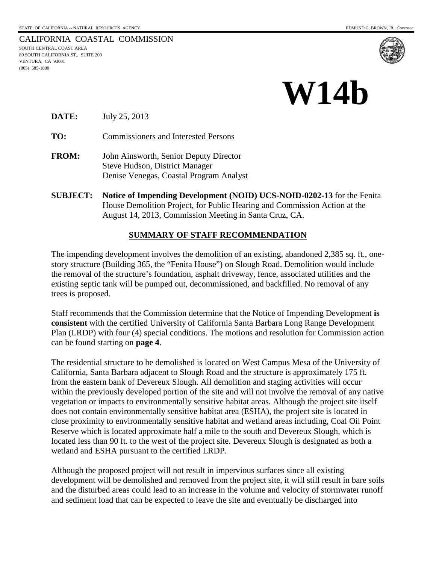#### CALIFORNIA COASTAL COMMISSION SOUTH CENTRAL COAST AREA 89 SOUTH CALIFORNIA ST., SUITE 200 VENTURA, CA 93001 (805) 585-1800



#### **DATE:** July 25, 2013

**TO:** Commissioners and Interested Persons

- **FROM:** John Ainsworth, Senior Deputy Director Steve Hudson, District Manager Denise Venegas, Coastal Program Analyst
- **SUBJECT: Notice of Impending Development (NOID) UCS-NOID-0202-13** for the Fenita House Demolition Project, for Public Hearing and Commission Action at the August 14, 2013, Commission Meeting in Santa Cruz, CA.

#### **SUMMARY OF STAFF RECOMMENDATION**

The impending development involves the demolition of an existing, abandoned 2,385 sq. ft., onestory structure (Building 365, the "Fenita House") on Slough Road. Demolition would include the removal of the structure's foundation, asphalt driveway, fence, associated utilities and the existing septic tank will be pumped out, decommissioned, and backfilled. No removal of any trees is proposed.

Staff recommends that the Commission determine that the Notice of Impending Development **is consistent** with the certified University of California Santa Barbara Long Range Development Plan (LRDP) with four (4) special conditions. The motions and resolution for Commission action can be found starting on **page 4**.

The residential structure to be demolished is located on West Campus Mesa of the University of California, Santa Barbara adjacent to Slough Road and the structure is approximately 175 ft. from the eastern bank of Devereux Slough. All demolition and staging activities will occur within the previously developed portion of the site and will not involve the removal of any native vegetation or impacts to environmentally sensitive habitat areas. Although the project site itself does not contain environmentally sensitive habitat area (ESHA), the project site is located in close proximity to environmentally sensitive habitat and wetland areas including, Coal Oil Point Reserve which is located approximate half a mile to the south and Devereux Slough, which is located less than 90 ft. to the west of the project site. Devereux Slough is designated as both a wetland and ESHA pursuant to the certified LRDP.

Although the proposed project will not result in impervious surfaces since all existing development will be demolished and removed from the project site, it will still result in bare soils and the disturbed areas could lead to an increase in the volume and velocity of stormwater runoff and sediment load that can be expected to leave the site and eventually be discharged into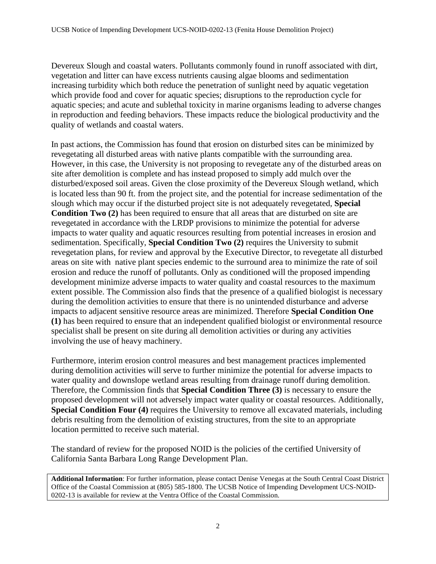Devereux Slough and coastal waters. Pollutants commonly found in runoff associated with dirt, vegetation and litter can have excess nutrients causing algae blooms and sedimentation increasing turbidity which both reduce the penetration of sunlight need by aquatic vegetation which provide food and cover for aquatic species; disruptions to the reproduction cycle for aquatic species; and acute and sublethal toxicity in marine organisms leading to adverse changes in reproduction and feeding behaviors. These impacts reduce the biological productivity and the quality of wetlands and coastal waters.

In past actions, the Commission has found that erosion on disturbed sites can be minimized by revegetating all disturbed areas with native plants compatible with the surrounding area. However, in this case, the University is not proposing to revegetate any of the disturbed areas on site after demolition is complete and has instead proposed to simply add mulch over the disturbed/exposed soil areas. Given the close proximity of the Devereux Slough wetland, which is located less than 90 ft. from the project site, and the potential for increase sedimentation of the slough which may occur if the disturbed project site is not adequately revegetated, **Special Condition Two (2)** has been required to ensure that all areas that are disturbed on site are revegetated in accordance with the LRDP provisions to minimize the potential for adverse impacts to water quality and aquatic resources resulting from potential increases in erosion and sedimentation. Specifically, **Special Condition Two (2)** requires the University to submit revegetation plans, for review and approval by the Executive Director, to revegetate all disturbed areas on site with native plant species endemic to the surround area to minimize the rate of soil erosion and reduce the runoff of pollutants. Only as conditioned will the proposed impending development minimize adverse impacts to water quality and coastal resources to the maximum extent possible. The Commission also finds that the presence of a qualified biologist is necessary during the demolition activities to ensure that there is no unintended disturbance and adverse impacts to adjacent sensitive resource areas are minimized. Therefore **Special Condition One (1)** has been required to ensure that an independent qualified biologist or environmental resource specialist shall be present on site during all demolition activities or during any activities involving the use of heavy machinery.

Furthermore, interim erosion control measures and best management practices implemented during demolition activities will serve to further minimize the potential for adverse impacts to water quality and downslope wetland areas resulting from drainage runoff during demolition. Therefore, the Commission finds that **Special Condition Three (3)** is necessary to ensure the proposed development will not adversely impact water quality or coastal resources. Additionally, **Special Condition Four (4)** requires the University to remove all excavated materials, including debris resulting from the demolition of existing structures, from the site to an appropriate location permitted to receive such material.

The standard of review for the proposed NOID is the policies of the certified University of California Santa Barbara Long Range Development Plan.

**Additional Information**: For further information, please contact Denise Venegas at the South Central Coast District Office of the Coastal Commission at (805) 585-1800. The UCSB Notice of Impending Development UCS-NOID-0202-13 is available for review at the Ventra Office of the Coastal Commission.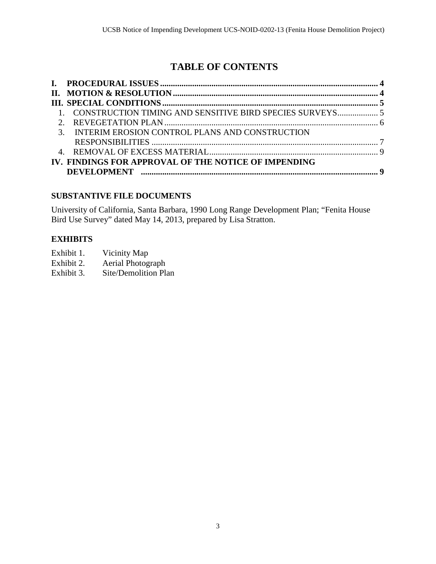# **TABLE OF CONTENTS**

| 1. CONSTRUCTION TIMING AND SENSITIVE BIRD SPECIES SURVEYS 5 |  |
|-------------------------------------------------------------|--|
|                                                             |  |
| 3. INTERIM EROSION CONTROL PLANS AND CONSTRUCTION           |  |
|                                                             |  |
|                                                             |  |
| IV. FINDINGS FOR APPROVAL OF THE NOTICE OF IMPENDING        |  |
|                                                             |  |

### **SUBSTANTIVE FILE DOCUMENTS**

University of California, Santa Barbara, 1990 Long Range Development Plan; "Fenita House Bird Use Survey" dated May 14, 2013, prepared by Lisa Stratton.

### **EXHIBITS**

| Exhibit 1. | Vicinity Map |
|------------|--------------|
|------------|--------------|

- Exhibit 2. Aerial Photograph<br>Exhibit 3. Site/Demolition Pla
- Site/Demolition Plan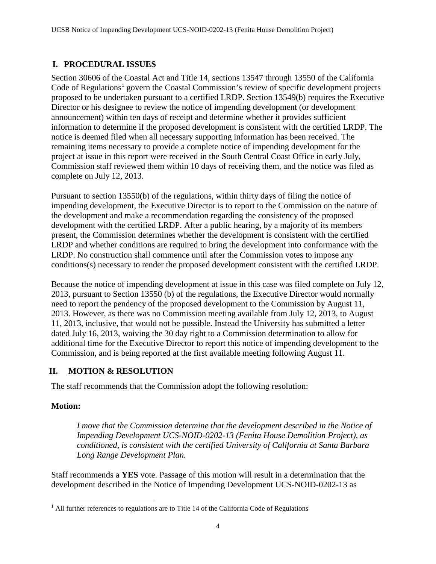### <span id="page-3-0"></span>**I. PROCEDURAL ISSUES**

Section 30606 of the Coastal Act and Title 14, sections 13547 through 13550 of the California Code of Regulations<sup>[1](#page-3-2)</sup> govern the Coastal Commission's review of specific development projects proposed to be undertaken pursuant to a certified LRDP. Section 13549(b) requires the Executive Director or his designee to review the notice of impending development (or development announcement) within ten days of receipt and determine whether it provides sufficient information to determine if the proposed development is consistent with the certified LRDP. The notice is deemed filed when all necessary supporting information has been received. The remaining items necessary to provide a complete notice of impending development for the project at issue in this report were received in the South Central Coast Office in early July, Commission staff reviewed them within 10 days of receiving them, and the notice was filed as complete on July 12, 2013.

Pursuant to section 13550(b) of the regulations, within thirty days of filing the notice of impending development, the Executive Director is to report to the Commission on the nature of the development and make a recommendation regarding the consistency of the proposed development with the certified LRDP. After a public hearing, by a majority of its members present, the Commission determines whether the development is consistent with the certified LRDP and whether conditions are required to bring the development into conformance with the LRDP. No construction shall commence until after the Commission votes to impose any conditions(s) necessary to render the proposed development consistent with the certified LRDP.

Because the notice of impending development at issue in this case was filed complete on July 12, 2013, pursuant to Section 13550 (b) of the regulations, the Executive Director would normally need to report the pendency of the proposed development to the Commission by August 11, 2013. However, as there was no Commission meeting available from July 12, 2013, to August 11, 2013, inclusive, that would not be possible. Instead the University has submitted a letter dated July 16, 2013, waiving the 30 day right to a Commission determination to allow for additional time for the Executive Director to report this notice of impending development to the Commission, and is being reported at the first available meeting following August 11.

### <span id="page-3-1"></span>**II. MOTION & RESOLUTION**

The staff recommends that the Commission adopt the following resolution:

#### **Motion:**

*I move that the Commission determine that the development described in the Notice of Impending Development UCS-NOID-0202-13 (Fenita House Demolition Project), as conditioned, is consistent with the certified University of California at Santa Barbara Long Range Development Plan.* 

Staff recommends a **YES** vote. Passage of this motion will result in a determination that the development described in the Notice of Impending Development UCS-NOID-0202-13 as

<span id="page-3-2"></span><sup>&</sup>lt;sup>1</sup> All further references to regulations are to Title 14 of the California Code of Regulations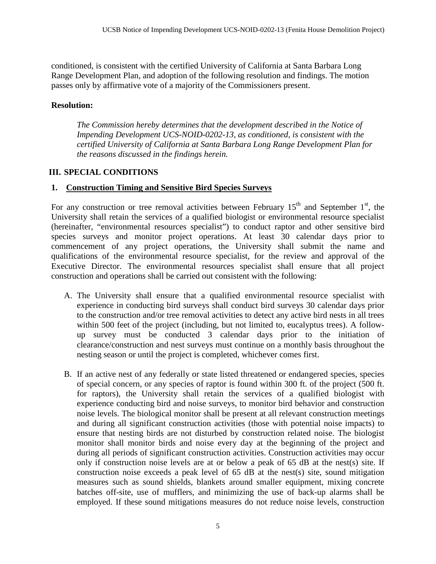conditioned, is consistent with the certified University of California at Santa Barbara Long Range Development Plan, and adoption of the following resolution and findings. The motion passes only by affirmative vote of a majority of the Commissioners present.

#### **Resolution:**

*The Commission hereby determines that the development described in the Notice of Impending Development UCS-NOID-0202-13, as conditioned, is consistent with the certified University of California at Santa Barbara Long Range Development Plan for the reasons discussed in the findings herein.* 

#### <span id="page-4-0"></span>**III. SPECIAL CONDITIONS**

#### <span id="page-4-1"></span>**1. Construction Timing and Sensitive Bird Species Surveys**

For any construction or tree removal activities between February  $15<sup>th</sup>$  and September  $1<sup>st</sup>$ , the University shall retain the services of a qualified biologist or environmental resource specialist (hereinafter, "environmental resources specialist") to conduct raptor and other sensitive bird species surveys and monitor project operations. At least 30 calendar days prior to commencement of any project operations, the University shall submit the name and qualifications of the environmental resource specialist, for the review and approval of the Executive Director. The environmental resources specialist shall ensure that all project construction and operations shall be carried out consistent with the following:

- A. The University shall ensure that a qualified environmental resource specialist with experience in conducting bird surveys shall conduct bird surveys 30 calendar days prior to the construction and/or tree removal activities to detect any active bird nests in all trees within 500 feet of the project (including, but not limited to, eucalyptus trees). A followup survey must be conducted 3 calendar days prior to the initiation of clearance/construction and nest surveys must continue on a monthly basis throughout the nesting season or until the project is completed, whichever comes first.
- B. If an active nest of any federally or state listed threatened or endangered species, species of special concern, or any species of raptor is found within 300 ft. of the project (500 ft. for raptors), the University shall retain the services of a qualified biologist with experience conducting bird and noise surveys, to monitor bird behavior and construction noise levels. The biological monitor shall be present at all relevant construction meetings and during all significant construction activities (those with potential noise impacts) to ensure that nesting birds are not disturbed by construction related noise. The biologist monitor shall monitor birds and noise every day at the beginning of the project and during all periods of significant construction activities. Construction activities may occur only if construction noise levels are at or below a peak of 65 dB at the nest(s) site. If construction noise exceeds a peak level of 65 dB at the nest(s) site, sound mitigation measures such as sound shields, blankets around smaller equipment, mixing concrete batches off-site, use of mufflers, and minimizing the use of back-up alarms shall be employed. If these sound mitigations measures do not reduce noise levels, construction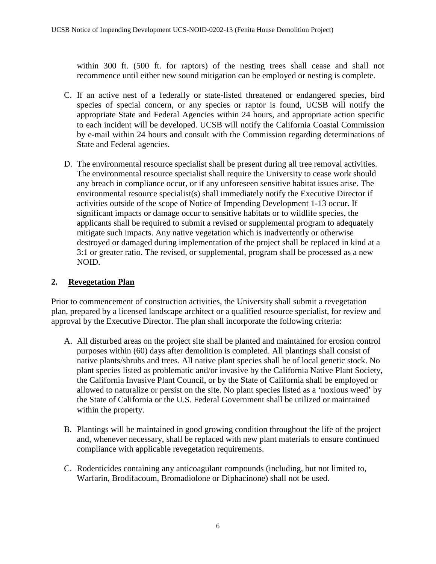within 300 ft. (500 ft. for raptors) of the nesting trees shall cease and shall not recommence until either new sound mitigation can be employed or nesting is complete.

- C. If an active nest of a federally or state-listed threatened or endangered species, bird species of special concern, or any species or raptor is found, UCSB will notify the appropriate State and Federal Agencies within 24 hours, and appropriate action specific to each incident will be developed. UCSB will notify the California Coastal Commission by e-mail within 24 hours and consult with the Commission regarding determinations of State and Federal agencies.
- D. The environmental resource specialist shall be present during all tree removal activities. The environmental resource specialist shall require the University to cease work should any breach in compliance occur, or if any unforeseen sensitive habitat issues arise. The environmental resource specialist(s) shall immediately notify the Executive Director if activities outside of the scope of Notice of Impending Development 1-13 occur. If significant impacts or damage occur to sensitive habitats or to wildlife species, the applicants shall be required to submit a revised or supplemental program to adequately mitigate such impacts. Any native vegetation which is inadvertently or otherwise destroyed or damaged during implementation of the project shall be replaced in kind at a 3:1 or greater ratio. The revised, or supplemental, program shall be processed as a new NOID.

### <span id="page-5-0"></span>**2. Revegetation Plan**

Prior to commencement of construction activities, the University shall submit a revegetation plan, prepared by a licensed landscape architect or a qualified resource specialist, for review and approval by the Executive Director. The plan shall incorporate the following criteria:

- A. All disturbed areas on the project site shall be planted and maintained for erosion control purposes within (60) days after demolition is completed. All plantings shall consist of native plants/shrubs and trees. All native plant species shall be of local genetic stock. No plant species listed as problematic and/or invasive by the California Native Plant Society, the California Invasive Plant Council, or by the State of California shall be employed or allowed to naturalize or persist on the site. No plant species listed as a 'noxious weed' by the State of California or the U.S. Federal Government shall be utilized or maintained within the property.
- B. Plantings will be maintained in good growing condition throughout the life of the project and, whenever necessary, shall be replaced with new plant materials to ensure continued compliance with applicable revegetation requirements.
- C. Rodenticides containing any anticoagulant compounds (including, but not limited to, Warfarin, Brodifacoum, Bromadiolone or Diphacinone) shall not be used.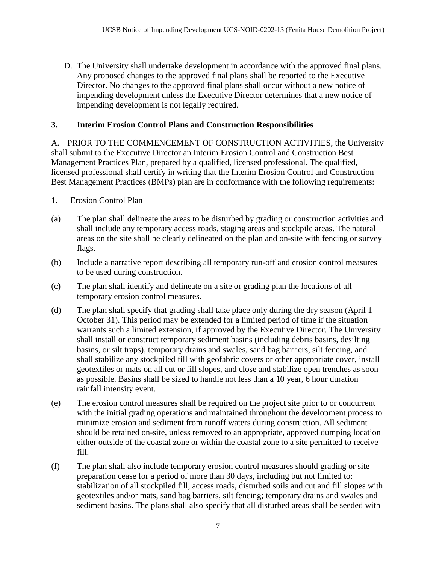D. The University shall undertake development in accordance with the approved final plans. Any proposed changes to the approved final plans shall be reported to the Executive Director. No changes to the approved final plans shall occur without a new notice of impending development unless the Executive Director determines that a new notice of impending development is not legally required.

### <span id="page-6-0"></span>**3. Interim Erosion Control Plans and Construction Responsibilities**

A. PRIOR TO THE COMMENCEMENT OF CONSTRUCTION ACTIVITIES, the University shall submit to the Executive Director an Interim Erosion Control and Construction Best Management Practices Plan, prepared by a qualified, licensed professional. The qualified, licensed professional shall certify in writing that the Interim Erosion Control and Construction Best Management Practices (BMPs) plan are in conformance with the following requirements:

- 1. Erosion Control Plan
- (a) The plan shall delineate the areas to be disturbed by grading or construction activities and shall include any temporary access roads, staging areas and stockpile areas. The natural areas on the site shall be clearly delineated on the plan and on-site with fencing or survey flags.
- (b) Include a narrative report describing all temporary run-off and erosion control measures to be used during construction.
- (c) The plan shall identify and delineate on a site or grading plan the locations of all temporary erosion control measures.
- (d) The plan shall specify that grading shall take place only during the dry season (April 1 October 31). This period may be extended for a limited period of time if the situation warrants such a limited extension, if approved by the Executive Director. The University shall install or construct temporary sediment basins (including debris basins, desilting basins, or silt traps), temporary drains and swales, sand bag barriers, silt fencing, and shall stabilize any stockpiled fill with geofabric covers or other appropriate cover, install geotextiles or mats on all cut or fill slopes, and close and stabilize open trenches as soon as possible. Basins shall be sized to handle not less than a 10 year, 6 hour duration rainfall intensity event.
- (e) The erosion control measures shall be required on the project site prior to or concurrent with the initial grading operations and maintained throughout the development process to minimize erosion and sediment from runoff waters during construction. All sediment should be retained on-site, unless removed to an appropriate, approved dumping location either outside of the coastal zone or within the coastal zone to a site permitted to receive fill.
- (f) The plan shall also include temporary erosion control measures should grading or site preparation cease for a period of more than 30 days, including but not limited to: stabilization of all stockpiled fill, access roads, disturbed soils and cut and fill slopes with geotextiles and/or mats, sand bag barriers, silt fencing; temporary drains and swales and sediment basins. The plans shall also specify that all disturbed areas shall be seeded with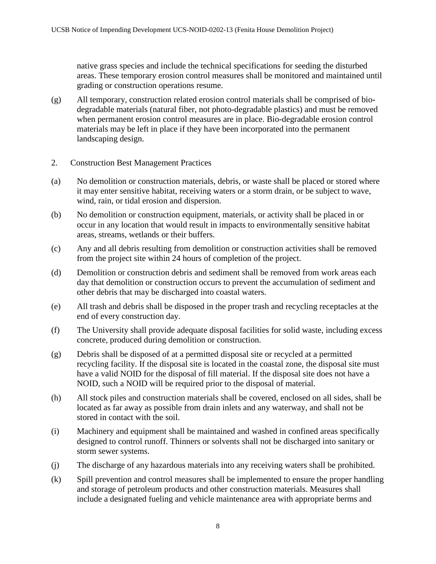native grass species and include the technical specifications for seeding the disturbed areas. These temporary erosion control measures shall be monitored and maintained until grading or construction operations resume.

- (g) All temporary, construction related erosion control materials shall be comprised of biodegradable materials (natural fiber, not photo-degradable plastics) and must be removed when permanent erosion control measures are in place. Bio-degradable erosion control materials may be left in place if they have been incorporated into the permanent landscaping design.
- 2. Construction Best Management Practices
- (a) No demolition or construction materials, debris, or waste shall be placed or stored where it may enter sensitive habitat, receiving waters or a storm drain, or be subject to wave, wind, rain, or tidal erosion and dispersion.
- (b) No demolition or construction equipment, materials, or activity shall be placed in or occur in any location that would result in impacts to environmentally sensitive habitat areas, streams, wetlands or their buffers.
- (c) Any and all debris resulting from demolition or construction activities shall be removed from the project site within 24 hours of completion of the project.
- (d) Demolition or construction debris and sediment shall be removed from work areas each day that demolition or construction occurs to prevent the accumulation of sediment and other debris that may be discharged into coastal waters.
- (e) All trash and debris shall be disposed in the proper trash and recycling receptacles at the end of every construction day.
- (f) The University shall provide adequate disposal facilities for solid waste, including excess concrete, produced during demolition or construction.
- (g) Debris shall be disposed of at a permitted disposal site or recycled at a permitted recycling facility. If the disposal site is located in the coastal zone, the disposal site must have a valid NOID for the disposal of fill material. If the disposal site does not have a NOID, such a NOID will be required prior to the disposal of material.
- (h) All stock piles and construction materials shall be covered, enclosed on all sides, shall be located as far away as possible from drain inlets and any waterway, and shall not be stored in contact with the soil.
- (i) Machinery and equipment shall be maintained and washed in confined areas specifically designed to control runoff. Thinners or solvents shall not be discharged into sanitary or storm sewer systems.
- (j) The discharge of any hazardous materials into any receiving waters shall be prohibited.
- (k) Spill prevention and control measures shall be implemented to ensure the proper handling and storage of petroleum products and other construction materials. Measures shall include a designated fueling and vehicle maintenance area with appropriate berms and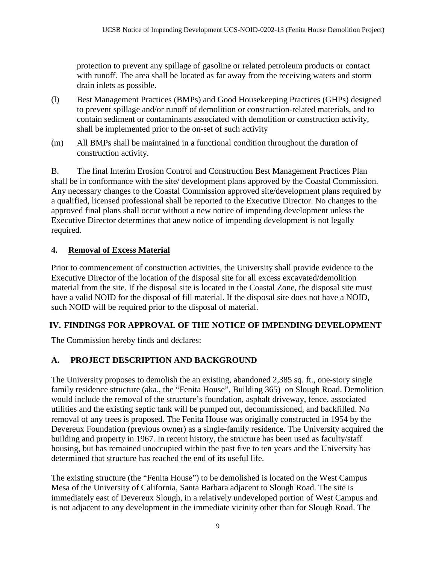protection to prevent any spillage of gasoline or related petroleum products or contact with runoff. The area shall be located as far away from the receiving waters and storm drain inlets as possible.

- (l) Best Management Practices (BMPs) and Good Housekeeping Practices (GHPs) designed to prevent spillage and/or runoff of demolition or construction-related materials, and to contain sediment or contaminants associated with demolition or construction activity, shall be implemented prior to the on-set of such activity
- (m) All BMPs shall be maintained in a functional condition throughout the duration of construction activity.

B. The final Interim Erosion Control and Construction Best Management Practices Plan shall be in conformance with the site/ development plans approved by the Coastal Commission. Any necessary changes to the Coastal Commission approved site/development plans required by a qualified, licensed professional shall be reported to the Executive Director. No changes to the approved final plans shall occur without a new notice of impending development unless the Executive Director determines that anew notice of impending development is not legally required.

### <span id="page-8-0"></span>**4. Removal of Excess Material**

Prior to commencement of construction activities, the University shall provide evidence to the Executive Director of the location of the disposal site for all excess excavated/demolition material from the site. If the disposal site is located in the Coastal Zone, the disposal site must have a valid NOID for the disposal of fill material. If the disposal site does not have a NOID, such NOID will be required prior to the disposal of material.

## <span id="page-8-1"></span>**IV. FINDINGS FOR APPROVAL OF THE NOTICE OF IMPENDING DEVELOPMENT**

The Commission hereby finds and declares:

## **A. PROJECT DESCRIPTION AND BACKGROUND**

The University proposes to demolish the an existing, abandoned 2,385 sq. ft., one-story single family residence structure (aka., the "Fenita House", Building 365) on Slough Road. Demolition would include the removal of the structure's foundation, asphalt driveway, fence, associated utilities and the existing septic tank will be pumped out, decommissioned, and backfilled. No removal of any trees is proposed. The Fenita House was originally constructed in 1954 by the Devereux Foundation (previous owner) as a single-family residence. The University acquired the building and property in 1967. In recent history, the structure has been used as faculty/staff housing, but has remained unoccupied within the past five to ten years and the University has determined that structure has reached the end of its useful life.

The existing structure (the "Fenita House") to be demolished is located on the West Campus Mesa of the University of California, Santa Barbara adjacent to Slough Road. The site is immediately east of Devereux Slough, in a relatively undeveloped portion of West Campus and is not adjacent to any development in the immediate vicinity other than for Slough Road. The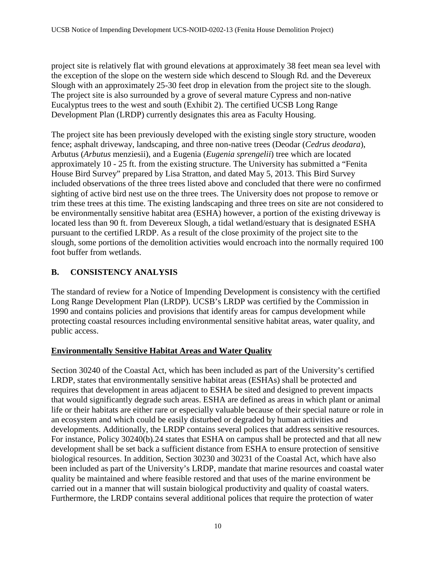project site is relatively flat with ground elevations at approximately 38 feet mean sea level with the exception of the slope on the western side which descend to Slough Rd. and the Devereux Slough with an approximately 25-30 feet drop in elevation from the project site to the slough. The project site is also surrounded by a grove of several mature Cypress and non-native Eucalyptus trees to the west and south (Exhibit 2). The certified UCSB Long Range Development Plan (LRDP) currently designates this area as Faculty Housing.

The project site has been previously developed with the existing single story structure, wooden fence; asphalt driveway, landscaping, and three non-native trees (Deodar (*Cedrus deodara*), Arbutus (*Arbutus* menziesii), and a Eugenia (*Eugenia sprengelii*) tree which are located approximately 10 - 25 ft. from the existing structure. The University has submitted a "Fenita House Bird Survey" prepared by Lisa Stratton, and dated May 5, 2013. This Bird Survey included observations of the three trees listed above and concluded that there were no confirmed sighting of active bird nest use on the three trees. The University does not propose to remove or trim these trees at this time. The existing landscaping and three trees on site are not considered to be environmentally sensitive habitat area (ESHA) however, a portion of the existing driveway is located less than 90 ft. from Devereux Slough, a tidal wetland/estuary that is designated ESHA pursuant to the certified LRDP. As a result of the close proximity of the project site to the slough, some portions of the demolition activities would encroach into the normally required 100 foot buffer from wetlands.

### **B. CONSISTENCY ANALYSIS**

The standard of review for a Notice of Impending Development is consistency with the certified Long Range Development Plan (LRDP). UCSB's LRDP was certified by the Commission in 1990 and contains policies and provisions that identify areas for campus development while protecting coastal resources including environmental sensitive habitat areas, water quality, and public access.

#### **Environmentally Sensitive Habitat Areas and Water Quality**

Section 30240 of the Coastal Act, which has been included as part of the University's certified LRDP, states that environmentally sensitive habitat areas (ESHAs) shall be protected and requires that development in areas adjacent to ESHA be sited and designed to prevent impacts that would significantly degrade such areas. ESHA are defined as areas in which plant or animal life or their habitats are either rare or especially valuable because of their special nature or role in an ecosystem and which could be easily disturbed or degraded by human activities and developments. Additionally, the LRDP contains several polices that address sensitive resources. For instance, Policy 30240(b).24 states that ESHA on campus shall be protected and that all new development shall be set back a sufficient distance from ESHA to ensure protection of sensitive biological resources. In addition, Section 30230 and 30231 of the Coastal Act, which have also been included as part of the University's LRDP, mandate that marine resources and coastal water quality be maintained and where feasible restored and that uses of the marine environment be carried out in a manner that will sustain biological productivity and quality of coastal waters. Furthermore, the LRDP contains several additional polices that require the protection of water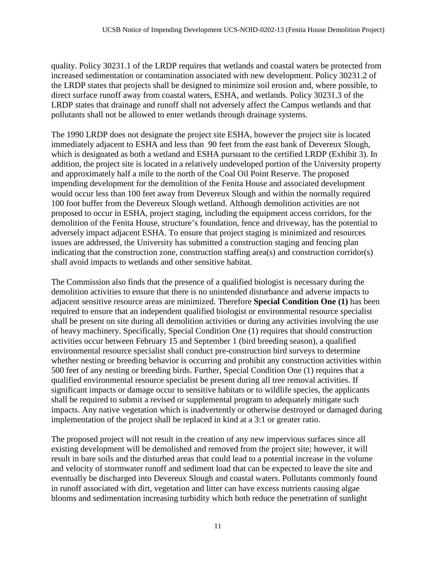quality. Policy 30231.1 of the LRDP requires that wetlands and coastal waters be protected from increased sedimentation or contamination associated with new development. Policy 30231.2 of the LRDP states that projects shall be designed to minimize soil erosion and, where possible, to direct surface runoff away from coastal waters, ESHA, and wetlands. Policy 30231.3 of the LRDP states that drainage and runoff shall not adversely affect the Campus wetlands and that pollutants shall not be allowed to enter wetlands through drainage systems.

The 1990 LRDP does not designate the project site ESHA, however the project site is located immediately adjacent to ESHA and less than 90 feet from the east bank of Devereux Slough, which is designated as both a wetland and ESHA pursuant to the certified LRDP (Exhibit 3). In addition, the project site is located in a relatively undeveloped portion of the University property and approximately half a mile to the north of the Coal Oil Point Reserve. The proposed impending development for the demolition of the Fenita House and associated development would occur less than 100 feet away from Devereux Slough and within the normally required 100 foot buffer from the Devereux Slough wetland. Although demolition activities are not proposed to occur in ESHA, project staging, including the equipment access corridors, for the demolition of the Fenita House, structure's foundation, fence and driveway, has the potential to adversely impact adjacent ESHA. To ensure that project staging is minimized and resources issues are addressed, the University has submitted a construction staging and fencing plan indicating that the construction zone, construction staffing area(s) and construction corridor(s) shall avoid impacts to wetlands and other sensitive habitat.

The Commission also finds that the presence of a qualified biologist is necessary during the demolition activities to ensure that there is no unintended disturbance and adverse impacts to adjacent sensitive resource areas are minimized. Therefore **Special Condition One (1)** has been required to ensure that an independent qualified biologist or environmental resource specialist shall be present on site during all demolition activities or during any activities involving the use of heavy machinery. Specifically, Special Condition One (1) requires that should construction activities occur between February 15 and September 1 (bird breeding season), a qualified environmental resource specialist shall conduct pre-construction bird surveys to determine whether nesting or breeding behavior is occurring and prohibit any construction activities within 500 feet of any nesting or breeding birds. Further, Special Condition One (1) requires that a qualified environmental resource specialist be present during all tree removal activities. If significant impacts or damage occur to sensitive habitats or to wildlife species, the applicants shall be required to submit a revised or supplemental program to adequately mitigate such impacts. Any native vegetation which is inadvertently or otherwise destroyed or damaged during implementation of the project shall be replaced in kind at a 3:1 or greater ratio.

The proposed project will not result in the creation of any new impervious surfaces since all existing development will be demolished and removed from the project site; however, it will result in bare soils and the disturbed areas that could lead to a potential increase in the volume and velocity of stormwater runoff and sediment load that can be expected to leave the site and eventually be discharged into Devereux Slough and coastal waters. Pollutants commonly found in runoff associated with dirt, vegetation and litter can have excess nutrients causing algae blooms and sedimentation increasing turbidity which both reduce the penetration of sunlight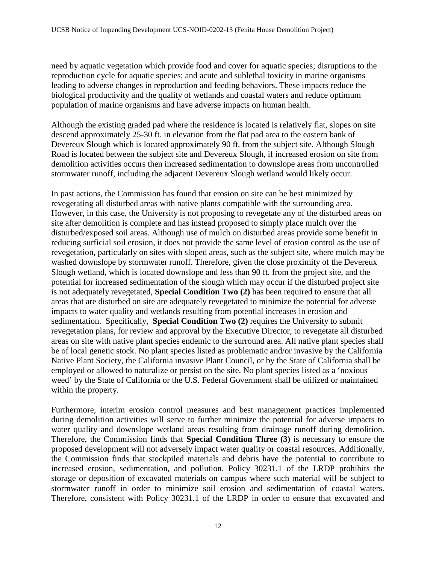need by aquatic vegetation which provide food and cover for aquatic species; disruptions to the reproduction cycle for aquatic species; and acute and sublethal toxicity in marine organisms leading to adverse changes in reproduction and feeding behaviors. These impacts reduce the biological productivity and the quality of wetlands and coastal waters and reduce optimum population of marine organisms and have adverse impacts on human health.

Although the existing graded pad where the residence is located is relatively flat, slopes on site descend approximately 25-30 ft. in elevation from the flat pad area to the eastern bank of Devereux Slough which is located approximately 90 ft. from the subject site. Although Slough Road is located between the subject site and Devereux Slough, if increased erosion on site from demolition activities occurs then increased sedimentation to downslope areas from uncontrolled stormwater runoff, including the adjacent Devereux Slough wetland would likely occur.

In past actions, the Commission has found that erosion on site can be best minimized by revegetating all disturbed areas with native plants compatible with the surrounding area. However, in this case, the University is not proposing to revegetate any of the disturbed areas on site after demolition is complete and has instead proposed to simply place mulch over the disturbed/exposed soil areas. Although use of mulch on disturbed areas provide some benefit in reducing surficial soil erosion, it does not provide the same level of erosion control as the use of revegetation, particularly on sites with sloped areas, such as the subject site, where mulch may be washed downslope by stormwater runoff. Therefore, given the close proximity of the Devereux Slough wetland, which is located downslope and less than 90 ft. from the project site, and the potential for increased sedimentation of the slough which may occur if the disturbed project site is not adequately revegetated, **Special Condition Two (2)** has been required to ensure that all areas that are disturbed on site are adequately revegetated to minimize the potential for adverse impacts to water quality and wetlands resulting from potential increases in erosion and sedimentation. Specifically, **Special Condition Two (2)** requires the University to submit revegetation plans, for review and approval by the Executive Director, to revegetate all disturbed areas on site with native plant species endemic to the surround area. All native plant species shall be of local genetic stock. No plant species listed as problematic and/or invasive by the California Native Plant Society, the California invasive Plant Council, or by the State of California shall be employed or allowed to naturalize or persist on the site. No plant species listed as a 'noxious weed' by the State of California or the U.S. Federal Government shall be utilized or maintained within the property.

Furthermore, interim erosion control measures and best management practices implemented during demolition activities will serve to further minimize the potential for adverse impacts to water quality and downslope wetland areas resulting from drainage runoff during demolition. Therefore, the Commission finds that **Special Condition Three (3)** is necessary to ensure the proposed development will not adversely impact water quality or coastal resources. Additionally, the Commission finds that stockpiled materials and debris have the potential to contribute to increased erosion, sedimentation, and pollution. Policy 30231.1 of the LRDP prohibits the storage or deposition of excavated materials on campus where such material will be subject to stormwater runoff in order to minimize soil erosion and sedimentation of coastal waters. Therefore, consistent with Policy 30231.1 of the LRDP in order to ensure that excavated and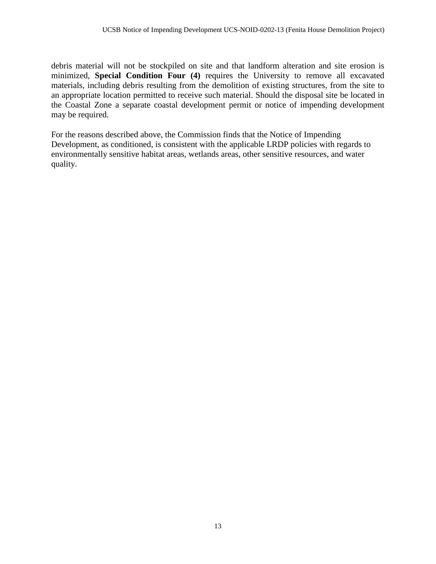debris material will not be stockpiled on site and that landform alteration and site erosion is minimized, **Special Condition Four (4)** requires the University to remove all excavated materials, including debris resulting from the demolition of existing structures, from the site to an appropriate location permitted to receive such material. Should the disposal site be located in the Coastal Zone a separate coastal development permit or notice of impending development may be required.

For the reasons described above, the Commission finds that the Notice of Impending Development, as conditioned, is consistent with the applicable LRDP policies with regards to environmentally sensitive habitat areas, wetlands areas, other sensitive resources, and water quality.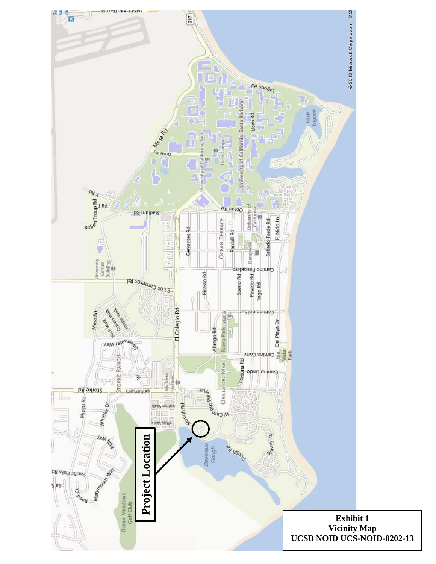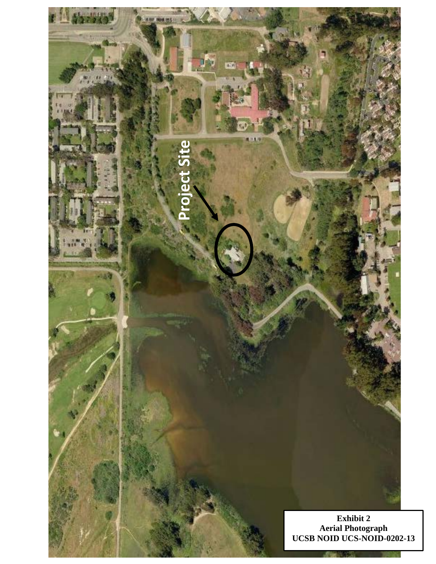